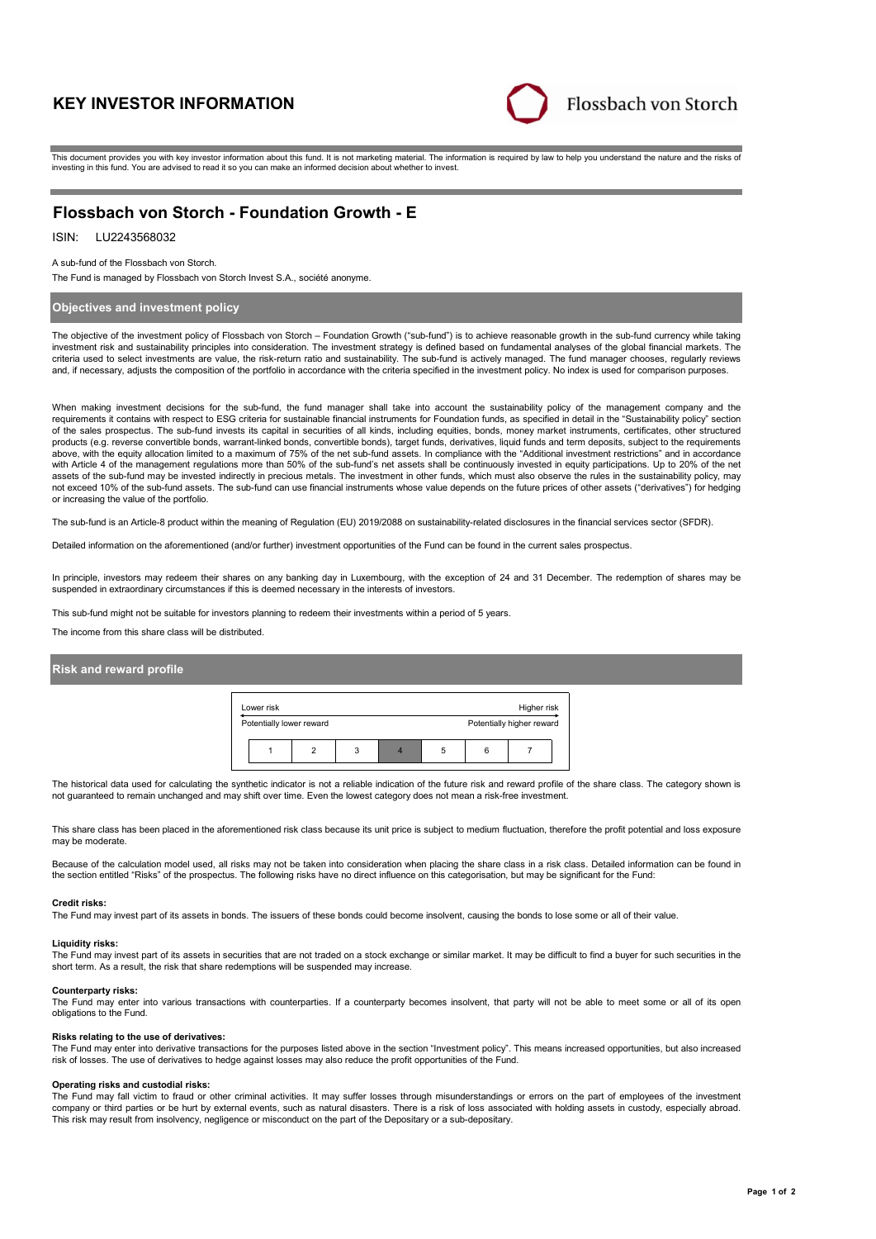# **KEY INVESTOR INFORMATION**



This document provides you with key investor information about this fund. It is not marketing material. The information is required by law to help you understand the nature and the risks of investing in this fund. You are advised to read it so you can make an informed decision about whether to invest.

# **Flossbach von Storch - Foundation Growth - E**

# ISIN: LU2243568032

#### A sub-fund of the Flossbach von Storch.

The Fund is managed by Flossbach von Storch Invest S.A., société anonyme.

### **Objectives and investment policy**

The objective of the investment policy of Flossbach von Storch – Foundation Growth ("sub-fund") is to achieve reasonable growth in the sub-fund currency while taking investment risk and sustainability principles into consideration. The investment strategy is defined based on fundamental analyses of the global financial markets. The criteria used to select investments are value, the risk-return ratio and sustainability. The sub-fund is actively managed. The fund manager chooses, regularly reviews and, if necessary, adjusts the composition of the portfolio in accordance with the criteria specified in the investment policy. No index is used for comparison purposes.

When making investment decisions for the sub-fund, the fund manager shall take into account the sustainability policy of the management company and the requirements it contains with respect to ESG criteria for sustainable financial instruments for Foundation funds, as specified in detail in the "Sustainability policy" section of the sales prospectus. The sub-fund invests its capital in securities of all kinds, including equities, bonds, money market instruments, certificates, other structured products (e.g. reverse convertible bonds, warrant-linked bonds, convertible bonds), target funds, derivatives, liquid funds and term deposits, subject to the requirements above, with the equity allocation limited to a maximum of 75% of the net sub-fund assets. In compliance with the "Additional investment restrictions" and in accordance with Article 4 of the management regulations more than 50% of the sub-fund's net assets shall be continuously invested in equity participations. Up to 20% of the net assets of the sub-fund may be invested indirectly in precious metals. The investment in other funds, which must also observe the rules in the sustainability policy, may not exceed 10% of the sub-fund assets. The sub-fund can use financial instruments whose value depends on the future prices of other assets ("derivatives") for hedging or increasing the value of the portfolio.

The sub-fund is an Article-8 product within the meaning of Regulation (EU) 2019/2088 on sustainability-related disclosures in the financial services sector (SFDR).

Detailed information on the aforementioned (and/or further) investment opportunities of the Fund can be found in the current sales prospectus.

In principle, investors may redeem their shares on any banking day in Luxembourg, with the exception of 24 and 31 December. The redemption of shares may be suspended in extraordinary circumstances if this is deemed necessary in the interests of investors.

This sub-fund might not be suitable for investors planning to redeem their investments within a period of 5 years.

The income from this share class will be distributed.

### **Risk and reward profile**

| Lower risk               |   |   | Higher risk               |  |
|--------------------------|---|---|---------------------------|--|
| Potentially lower reward |   |   | Potentially higher reward |  |
|                          | 3 | b |                           |  |

The historical data used for calculating the synthetic indicator is not a reliable indication of the future risk and reward profile of the share class. The category shown is not guaranteed to remain unchanged and may shift over time. Even the lowest category does not mean a risk-free investment.

This share class has been placed in the aforementioned risk class because its unit price is subject to medium fluctuation, therefore the profit potential and loss exposure may be moderate.

Because of the calculation model used, all risks may not be taken into consideration when placing the share class in a risk class. Detailed information can be found in the section entitled "Risks" of the prospectus. The following risks have no direct influence on this categorisation, but may be significant for the Fund:

#### **Credit risks:**

The Fund may invest part of its assets in bonds. The issuers of these bonds could become insolvent, causing the bonds to lose some or all of their value.

#### **Liquidity risks:**

The Fund may invest part of its assets in securities that are not traded on a stock exchange or similar market. It may be difficult to find a buyer for such securities in the short term. As a result, the risk that share redemptions will be suspended may increase.

#### **Counterparty risks:**

The Fund may enter into various transactions with counterparties. If a counterparty becomes insolvent, that party will not be able to meet some or all of its open obligations to the Fund.

#### **Risks relating to the use of derivatives:**

The Fund may enter into derivative transactions for the purposes listed above in the section "Investment policy". This means increased opportunities, but also increased risk of losses. The use of derivatives to hedge against losses may also reduce the profit opportunities of the Fund.

#### **Operating risks and custodial risks:**

The Fund may fall victim to fraud or other criminal activities. It may suffer losses through misunderstandings or errors on the part of employees of the investment company or third parties or be hurt by external events, such as natural disasters. There is a risk of loss associated with holding assets in custody, especially abroad. This risk may result from insolvency, negligence or misconduct on the part of the Depositary or a sub-depositary.